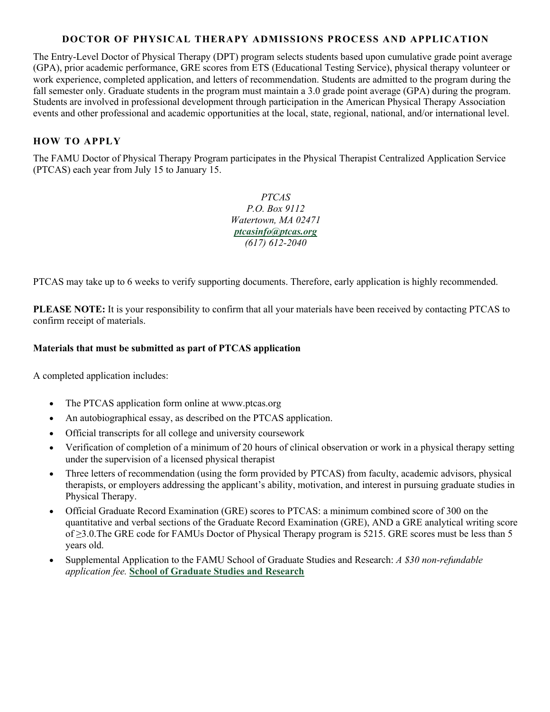## **DOCTOR OF PHYSICAL THERAPY ADMISSIONS PROCESS AND APPLICATION**

The Entry-Level Doctor of Physical Therapy (DPT) program selects students based upon cumulative grade point average (GPA), prior academic performance, GRE scores from ETS (Educational Testing Service), physical therapy volunteer or work experience, completed application, and letters of recommendation. Students are admitted to the program during the fall semester only. Graduate students in the program must maintain a 3.0 grade point average (GPA) during the program. Students are involved in professional development through participation in the American Physical Therapy Association events and other professional and academic opportunities at the local, state, regional, national, and/or international level.

## **HOW TO APPLY**

The FAMU Doctor of Physical Therapy Program participates in the Physical Therapist Centralized Application Service (PTCAS) each year from July 15 to January 15.

> *PTCAS P.O. Box 9112 Watertown, MA 02471 ptcasinfo@ptcas.org (617) 612-2040*

PTCAS may take up to 6 weeks to verify supporting documents. Therefore, early application is highly recommended.

**PLEASE NOTE:** It is your responsibility to confirm that all your materials have been received by contacting PTCAS to confirm receipt of materials.

## **Materials that must be submitted as part of PTCAS application**

A completed application includes:

- The PTCAS application form online at www.ptcas.org
- An autobiographical essay, as described on the PTCAS application.
- Official transcripts for all college and university coursework
- Verification of completion of a minimum of 20 hours of clinical observation or work in a physical therapy setting under the supervision of a licensed physical therapist
- Three letters of recommendation (using the form provided by PTCAS) from faculty, academic advisors, physical therapists, or employers addressing the applicant's ability, motivation, and interest in pursuing graduate studies in Physical Therapy.
- Official Graduate Record Examination (GRE) scores to PTCAS: a minimum combined score of 300 on the quantitative and verbal sections of the Graduate Record Examination (GRE), AND a GRE analytical writing score of ≥3.0.The GRE code for FAMUs Doctor of Physical Therapy program is 5215. GRE scores must be less than 5 years old.
- Supplemental Application to the FAMU School of Graduate Studies and Research: *A \$30 non-refundable application fee.* **School of Graduate Studies and Research**